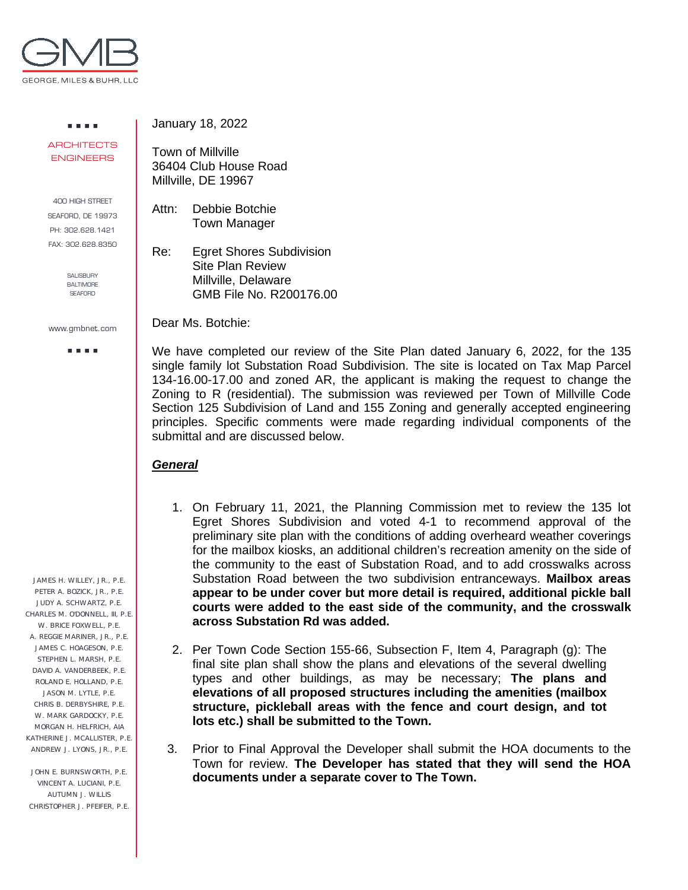

. . . . **ARCHITECTS** ENGINEERS

400 HIGH STREET SEAFORD, DE 19973 PH: 302.628.1421 FAX: 302.628.8350

> SALISBURY BALTIMORE **SEAFORD**

www.gmbnet.com

a a sua

 JAMES H. WILLEY, JR., P.E. PETER A. BOZICK, JR., P.E. JUDY A. SCHWARTZ, P.E. CHARLES M. O'DONNELL, III, P.E. W. BRICE FOXWELL, P.E. A. REGGIE MARINER, JR., P.E. JAMES C. HOAGESON, P.E. STEPHEN L. MARSH, P.E. DAVID A. VANDERBEEK, P.E. ROLAND E. HOLLAND, P.E. JASON M. LYTLE, P.E. CHRIS B. DERBYSHIRE, P.E. W. MARK GARDOCKY, P.E. MORGAN H. HELFRICH, AIA KATHERINE J. MCALLISTER, P.E. ANDREW J. LYONS, JR., P.E.

 JOHN E. BURNSWORTH, P.E. VINCENT A. LUCIANI, P.E. AUTUMN J. WILLIS CHRISTOPHER J. PFEIFER, P.E. January 18, 2022

Town of Millville 36404 Club House Road Millville, DE 19967

Attn: Debbie Botchie Town Manager

Re: Egret Shores Subdivision Site Plan Review Millville, Delaware GMB File No. R200176.00

Dear Ms. Botchie:

We have completed our review of the Site Plan dated January 6, 2022, for the 135 single family lot Substation Road Subdivision. The site is located on Tax Map Parcel 134-16.00-17.00 and zoned AR, the applicant is making the request to change the Zoning to R (residential). The submission was reviewed per Town of Millville Code Section 125 Subdivision of Land and 155 Zoning and generally accepted engineering principles. Specific comments were made regarding individual components of the submittal and are discussed below.

## *General*

- 1. On February 11, 2021, the Planning Commission met to review the 135 lot Egret Shores Subdivision and voted 4-1 to recommend approval of the preliminary site plan with the conditions of adding overheard weather coverings for the mailbox kiosks, an additional children's recreation amenity on the side of the community to the east of Substation Road, and to add crosswalks across Substation Road between the two subdivision entranceways. **Mailbox areas appear to be under cover but more detail is required, additional pickle ball courts were added to the east side of the community, and the crosswalk across Substation Rd was added.**
- 2. Per Town Code Section 155-66, Subsection F, Item 4, Paragraph (g): The final site plan shall show the plans and elevations of the several dwelling types and other buildings, as may be necessary; **The plans and elevations of all proposed structures including the amenities (mailbox structure, pickleball areas with the fence and court design, and tot lots etc.) shall be submitted to the Town.**
- 3. Prior to Final Approval the Developer shall submit the HOA documents to the Town for review. **The Developer has stated that they will send the HOA documents under a separate cover to The Town.**